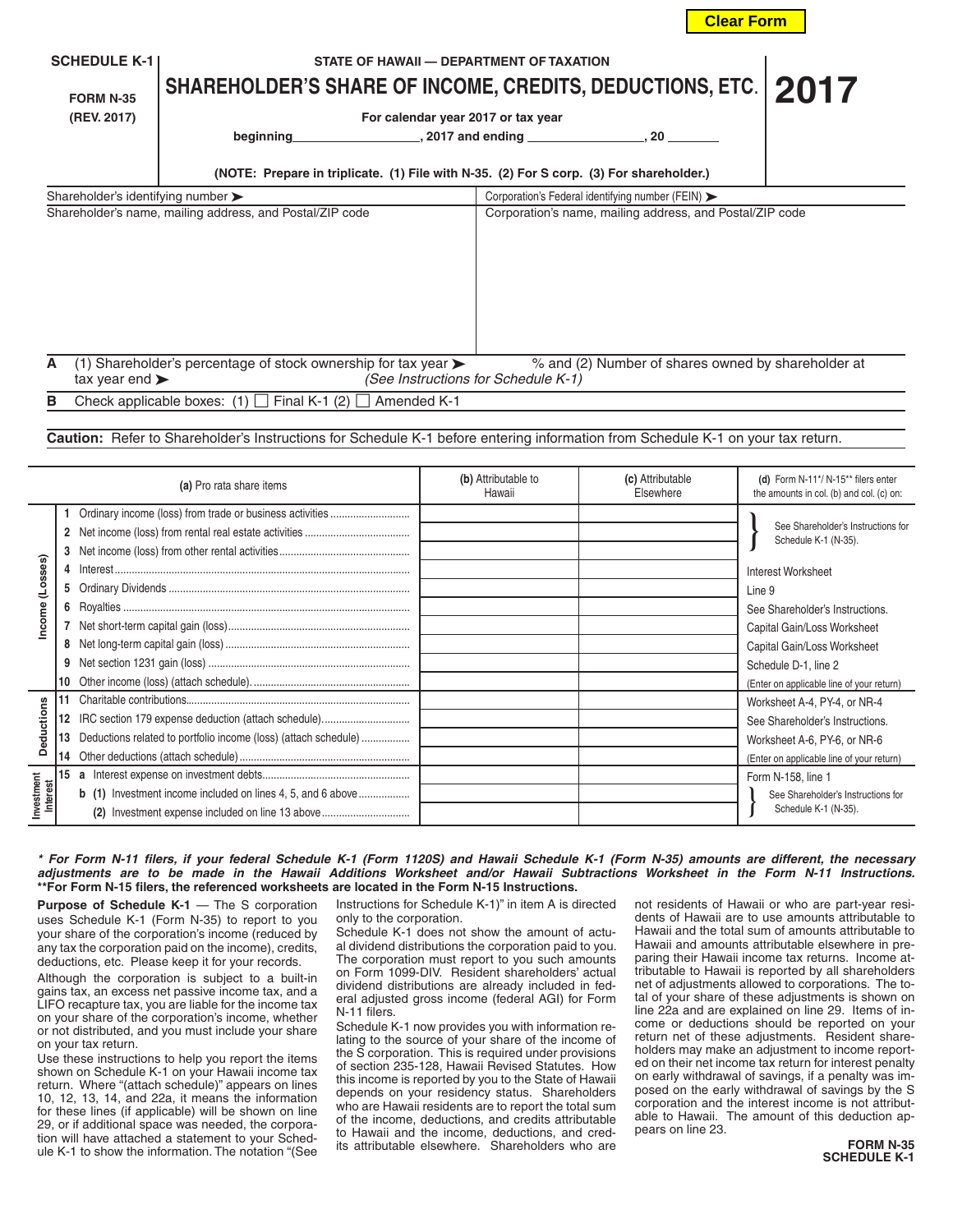| <b>SCHEDULE K-1</b><br><b>FORM N-35</b><br>(REV. 2017) | SHAREHOLDER'S SHARE OF INCOME, CREDITS, DEDUCTIONS, ETC.<br>beginning<br>(NOTE: Prepare in triplicate. (1) File with N-35. (2) For S corp. (3) For shareholder.) | STATE OF HAWAII - DEPARTMENT OF TAXATION<br>For calendar year 2017 or tax year<br>$,2017$ and ending $,20$ |                                     |                                                          | 2017 |
|--------------------------------------------------------|------------------------------------------------------------------------------------------------------------------------------------------------------------------|------------------------------------------------------------------------------------------------------------|-------------------------------------|----------------------------------------------------------|------|
| Shareholder's identifying number $\blacktriangleright$ |                                                                                                                                                                  |                                                                                                            |                                     | Corporation's Federal identifying number (FEIN) >        |      |
|                                                        | Shareholder's name, mailing address, and Postal/ZIP code                                                                                                         |                                                                                                            |                                     | Corporation's name, mailing address, and Postal/ZIP code |      |
| A<br>tax year end $\blacktriangleright$                | (1) Shareholder's percentage of stock ownership for tax year $\blacktriangleright$                                                                               |                                                                                                            | (See Instructions for Schedule K-1) | % and (2) Number of shares owned by shareholder at       |      |
| в                                                      | Check applicable boxes: (1) $\Box$ Final K-1 (2) $\Box$                                                                                                          | Amended K-1                                                                                                |                                     |                                                          |      |

**Caution:** Refer to Shareholder's Instructions for Schedule K-1 before entering information from Schedule K-1 on your tax return.

| (a) Pro rata share items |                                                          |                                                                    | (b) Attributable to<br>Hawaii | (c) Attributable<br>Elsewhere | (d) Form N-11*/ N-15** filers enter<br>the amounts in col. (b) and col. (c) on: |  |
|--------------------------|----------------------------------------------------------|--------------------------------------------------------------------|-------------------------------|-------------------------------|---------------------------------------------------------------------------------|--|
| (Losses)<br>Income       | Ordinary income (loss) from trade or business activities |                                                                    |                               |                               |                                                                                 |  |
|                          |                                                          |                                                                    |                               |                               | See Shareholder's Instructions for<br>Schedule K-1 (N-35).                      |  |
|                          |                                                          |                                                                    |                               |                               |                                                                                 |  |
|                          | 4                                                        |                                                                    |                               |                               | Interest Worksheet                                                              |  |
|                          | 5                                                        |                                                                    |                               |                               | Line 9                                                                          |  |
|                          | 6                                                        |                                                                    |                               |                               | See Shareholder's Instructions.                                                 |  |
|                          |                                                          |                                                                    |                               |                               | Capital Gain/Loss Worksheet                                                     |  |
|                          | 8                                                        |                                                                    |                               |                               | Capital Gain/Loss Worksheet                                                     |  |
|                          |                                                          |                                                                    |                               |                               | Schedule D-1, line 2                                                            |  |
|                          |                                                          |                                                                    |                               |                               | (Enter on applicable line of your return)                                       |  |
| <b>Deductions</b>        |                                                          |                                                                    |                               |                               | Worksheet A-4, PY-4, or NR-4                                                    |  |
|                          | 12                                                       |                                                                    |                               |                               | See Shareholder's Instructions.                                                 |  |
|                          | 13                                                       | Deductions related to portfolio income (loss) (attach schedule)    |                               |                               | Worksheet A-6, PY-6, or NR-6                                                    |  |
|                          |                                                          |                                                                    |                               |                               | (Enter on applicable line of your return)                                       |  |
| Investment<br>Interest   |                                                          |                                                                    |                               |                               | Form N-158, line 1                                                              |  |
|                          |                                                          | <b>b</b> (1) Investment income included on lines 4, 5, and 6 above |                               |                               | See Shareholder's Instructions for                                              |  |
|                          |                                                          | (2) Investment expense included on line 13 above                   |                               |                               | Schedule K-1 (N-35).                                                            |  |

## *\* For Form N-11 filers, if your federal Schedule K-1 (Form 1120S) and Hawaii Schedule K-1 (Form N-35) amounts are different, the necessary adjustments are to be made in the Hawaii Additions Worksheet and/or Hawaii Subtractions Worksheet in the Form N-11 Instructions.* **\*\*For Form N-15 filers, the referenced worksheets are located in the Form N-15 Instructions.**

**Purpose of Schedule K-1** — The S corporation uses Schedule K-1 (Form N-35) to report to you your share of the corporation's income (reduced by any tax the corporation paid on the income), credits, deductions, etc. Please keep it for your records.

Although the corporation is subject to a built-in gains tax, an excess net passive income tax, and a LIFO recapture tax, you are liable for the income tax on your share of the corporation's income, whether or not distributed, and you must include your share on your tax return.

Use these instructions to help you report the items shown on Schedule K-1 on your Hawaii income tax return. Where "(attach schedule)" appears on lines 10, 12, 13, 14, and 22a, it means the information for these lines (if applicable) will be shown on line 29, or if additional space was needed, the corporation will have attached a statement to your Schedule K-1 to show the information. The notation "(See

Instructions for Schedule K-1)" in item A is directed only to the corporation.

Schedule K-1 does not show the amount of actual dividend distributions the corporation paid to you. The corporation must report to you such amounts on Form 1099-DIV. Resident shareholders' actual dividend distributions are already included in federal adjusted gross income (federal AGI) for Form N-11 filers.

Schedule K-1 now provides you with information relating to the source of your share of the income of the S corporation. This is required under provisions of section 235-128, Hawaii Revised Statutes. How this income is reported by you to the State of Hawaii depends on your residency status. Shareholders who are Hawaii residents are to report the total sum of the income, deductions, and credits attributable to Hawaii and the income, deductions, and credits attributable elsewhere. Shareholders who are

not residents of Hawaii or who are part-year residents of Hawaii are to use amounts attributable to Hawaii and the total sum of amounts attributable to Hawaii and amounts attributable elsewhere in preparing their Hawaii income tax returns. Income attributable to Hawaii is reported by all shareholders net of adjustments allowed to corporations. The total of your share of these adjustments is shown on line 22a and are explained on line 29. Items of income or deductions should be reported on your return net of these adjustments. Resident shareholders may make an adjustment to income reported on their net income tax return for interest penalty on early withdrawal of savings, if a penalty was imposed on the early withdrawal of savings by the S corporation and the interest income is not attributable to Hawaii. The amount of this deduction appears on line 23.

**Clear Form**